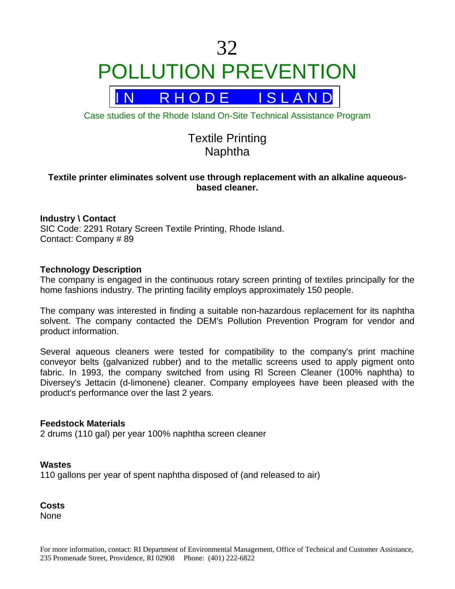

R H O D E I S L A N D

Case studies of the Rhode Island On-Site Technical Assistance Program

# Textile Printing Naphtha

# **Textile printer eliminates solvent use through replacement with an alkaline aqueousbased cleaner.**

# **Industry \ Contact**

SIC Code: 2291 Rotary Screen Textile Printing, Rhode Island. Contact: Company # 89

## **Technology Description**

The company is engaged in the continuous rotary screen printing of textiles principally for the home fashions industry. The printing facility employs approximately 150 people.

The company was interested in finding a suitable non-hazardous replacement for its naphtha solvent. The company contacted the DEM's Pollution Prevention Program for vendor and product information.

Several aqueous cleaners were tested for compatibility to the company's print machine conveyor belts (galvanized rubber) and to the metallic screens used to apply pigment onto fabric. In 1993, the company switched from using Rl Screen Cleaner (100% naphtha) to Diversey's Jettacin (d-limonene) cleaner. Company employees have been pleased with the product's performance over the last 2 years.

## **Feedstock Materials**

2 drums (110 gal) per year 100% naphtha screen cleaner

## **Wastes**

110 gallons per year of spent naphtha disposed of (and released to air)

**Costs**  None